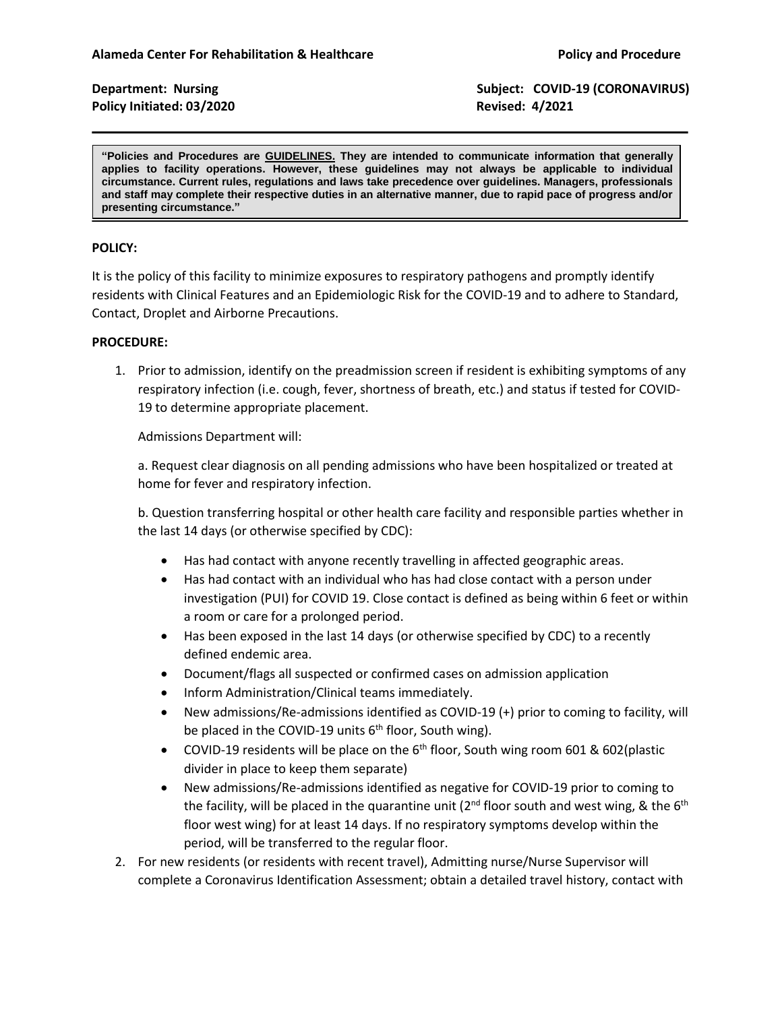**Department: Nursing <b>Subject: COVID-19 (CORONAVIRUS**)

**"Policies and Procedures are GUIDELINES. They are intended to communicate information that generally applies to facility operations. However, these guidelines may not always be applicable to individual circumstance. Current rules, regulations and laws take precedence over guidelines. Managers, professionals and staff may complete their respective duties in an alternative manner, due to rapid pace of progress and/or presenting circumstance."**

## **POLICY:**

It is the policy of this facility to minimize exposures to respiratory pathogens and promptly identify residents with Clinical Features and an Epidemiologic Risk for the COVID-19 and to adhere to Standard, Contact, Droplet and Airborne Precautions.

## **PROCEDURE:**

1. Prior to admission, identify on the preadmission screen if resident is exhibiting symptoms of any respiratory infection (i.e. cough, fever, shortness of breath, etc.) and status if tested for COVID-19 to determine appropriate placement.

Admissions Department will:

a. Request clear diagnosis on all pending admissions who have been hospitalized or treated at home for fever and respiratory infection.

b. Question transferring hospital or other health care facility and responsible parties whether in the last 14 days (or otherwise specified by CDC):

- Has had contact with anyone recently travelling in affected geographic areas.
- Has had contact with an individual who has had close contact with a person under investigation (PUI) for COVID 19. Close contact is defined as being within 6 feet or within a room or care for a prolonged period.
- Has been exposed in the last 14 days (or otherwise specified by CDC) to a recently defined endemic area.
- Document/flags all suspected or confirmed cases on admission application
- Inform Administration/Clinical teams immediately.
- New admissions/Re-admissions identified as COVID-19 (+) prior to coming to facility, will be placed in the COVID-19 units  $6<sup>th</sup>$  floor, South wing).
- COVID-19 residents will be place on the  $6<sup>th</sup>$  floor, South wing room 601 & 602(plastic divider in place to keep them separate)
- New admissions/Re-admissions identified as negative for COVID-19 prior to coming to the facility, will be placed in the quarantine unit (2<sup>nd</sup> floor south and west wing, & the 6<sup>th</sup> floor west wing) for at least 14 days. If no respiratory symptoms develop within the period, will be transferred to the regular floor.
- 2. For new residents (or residents with recent travel), Admitting nurse/Nurse Supervisor will complete a Coronavirus Identification Assessment; obtain a detailed travel history, contact with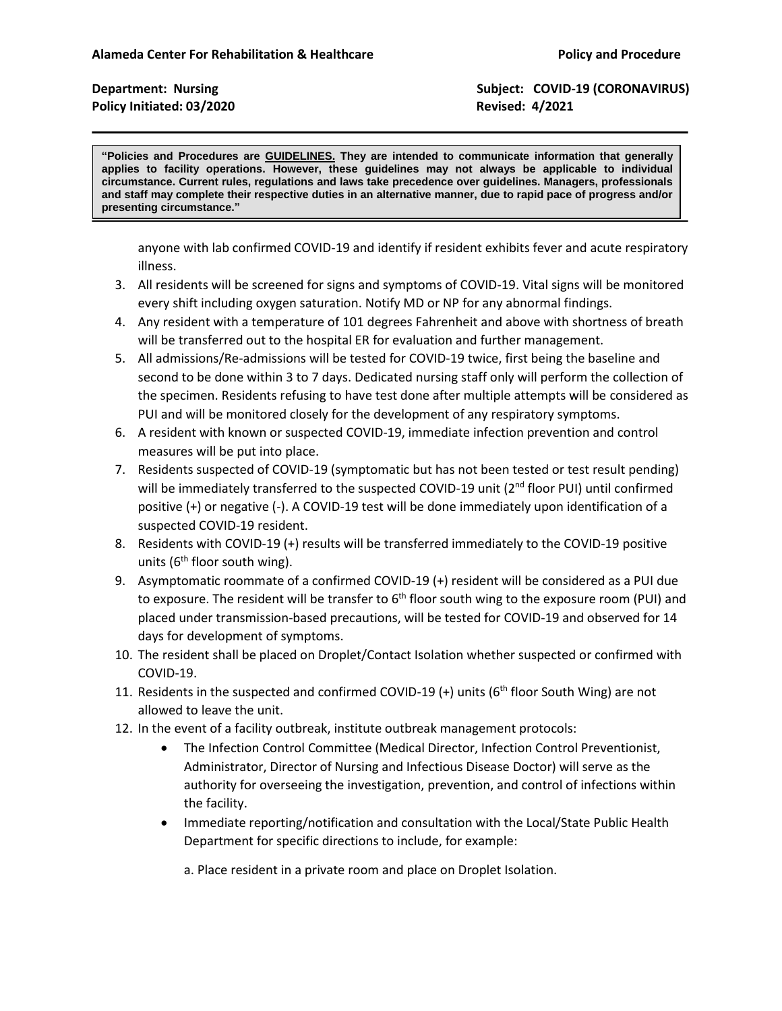**Department: Nursing <b>Subject: COVID-19 (CORONAVIRUS**)

**"Policies and Procedures are GUIDELINES. They are intended to communicate information that generally applies to facility operations. However, these guidelines may not always be applicable to individual circumstance. Current rules, regulations and laws take precedence over guidelines. Managers, professionals and staff may complete their respective duties in an alternative manner, due to rapid pace of progress and/or presenting circumstance."**

anyone with lab confirmed COVID-19 and identify if resident exhibits fever and acute respiratory illness.

- 3. All residents will be screened for signs and symptoms of COVID-19. Vital signs will be monitored every shift including oxygen saturation. Notify MD or NP for any abnormal findings.
- 4. Any resident with a temperature of 101 degrees Fahrenheit and above with shortness of breath will be transferred out to the hospital ER for evaluation and further management.
- 5. All admissions/Re-admissions will be tested for COVID-19 twice, first being the baseline and second to be done within 3 to 7 days. Dedicated nursing staff only will perform the collection of the specimen. Residents refusing to have test done after multiple attempts will be considered as PUI and will be monitored closely for the development of any respiratory symptoms.
- 6. A resident with known or suspected COVID-19, immediate infection prevention and control measures will be put into place.
- 7. Residents suspected of COVID-19 (symptomatic but has not been tested or test result pending) will be immediately transferred to the suspected COVID-19 unit (2<sup>nd</sup> floor PUI) until confirmed positive (+) or negative (-). A COVID-19 test will be done immediately upon identification of a suspected COVID-19 resident.
- 8. Residents with COVID-19 (+) results will be transferred immediately to the COVID-19 positive units (6<sup>th</sup> floor south wing).
- 9. Asymptomatic roommate of a confirmed COVID-19 (+) resident will be considered as a PUI due to exposure. The resident will be transfer to 6<sup>th</sup> floor south wing to the exposure room (PUI) and placed under transmission-based precautions, will be tested for COVID-19 and observed for 14 days for development of symptoms.
- 10. The resident shall be placed on Droplet/Contact Isolation whether suspected or confirmed with COVID-19.
- 11. Residents in the suspected and confirmed COVID-19 (+) units (6<sup>th</sup> floor South Wing) are not allowed to leave the unit.
- 12. In the event of a facility outbreak, institute outbreak management protocols:
	- The Infection Control Committee (Medical Director, Infection Control Preventionist, Administrator, Director of Nursing and Infectious Disease Doctor) will serve as the authority for overseeing the investigation, prevention, and control of infections within the facility.
	- Immediate reporting/notification and consultation with the Local/State Public Health Department for specific directions to include, for example:
		- a. Place resident in a private room and place on Droplet Isolation.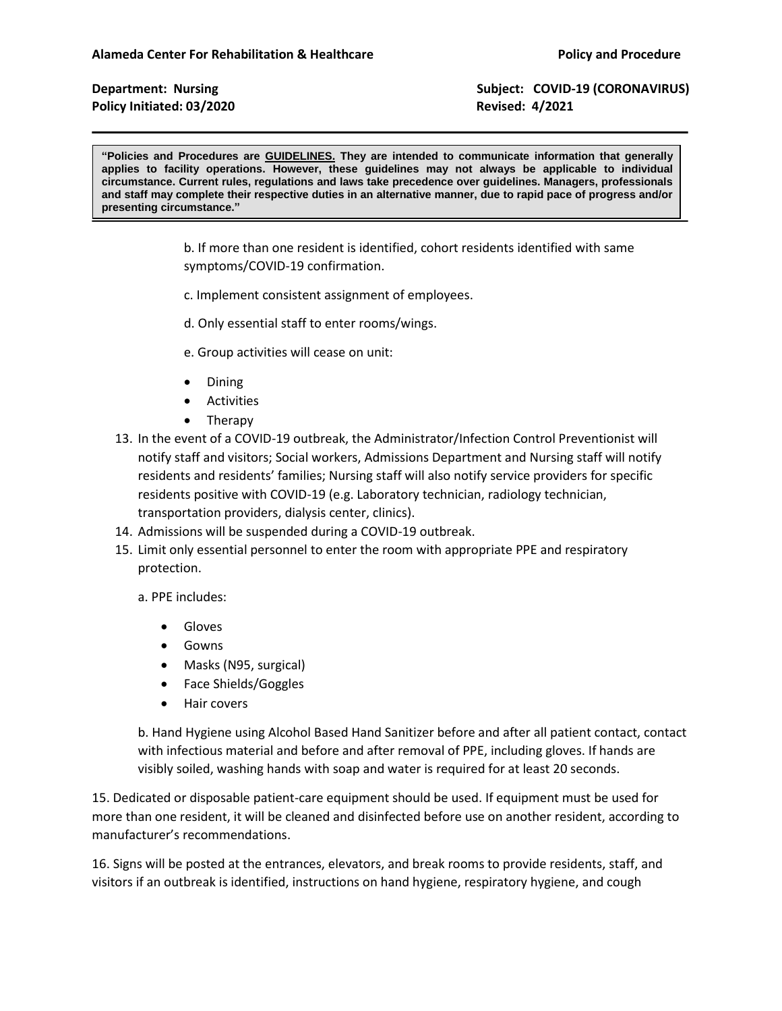**Department: Nursing Subject: COVID-19 (CORONAVIRUS)**

**"Policies and Procedures are GUIDELINES. They are intended to communicate information that generally applies to facility operations. However, these guidelines may not always be applicable to individual circumstance. Current rules, regulations and laws take precedence over guidelines. Managers, professionals and staff may complete their respective duties in an alternative manner, due to rapid pace of progress and/or presenting circumstance."**

> b. If more than one resident is identified, cohort residents identified with same symptoms/COVID-19 confirmation.

- c. Implement consistent assignment of employees.
- d. Only essential staff to enter rooms/wings.
- e. Group activities will cease on unit:
- Dining
- Activities
- Therapy
- 13. In the event of a COVID-19 outbreak, the Administrator/Infection Control Preventionist will notify staff and visitors; Social workers, Admissions Department and Nursing staff will notify residents and residents' families; Nursing staff will also notify service providers for specific residents positive with COVID-19 (e.g. Laboratory technician, radiology technician, transportation providers, dialysis center, clinics).
- 14. Admissions will be suspended during a COVID-19 outbreak.
- 15. Limit only essential personnel to enter the room with appropriate PPE and respiratory protection.

a. PPE includes:

- **•** Gloves
- Gowns
- Masks (N95, surgical)
- Face Shields/Goggles
- Hair covers

b. Hand Hygiene using Alcohol Based Hand Sanitizer before and after all patient contact, contact with infectious material and before and after removal of PPE, including gloves. If hands are visibly soiled, washing hands with soap and water is required for at least 20 seconds.

15. Dedicated or disposable patient-care equipment should be used. If equipment must be used for more than one resident, it will be cleaned and disinfected before use on another resident, according to manufacturer's recommendations.

16. Signs will be posted at the entrances, elevators, and break rooms to provide residents, staff, and visitors if an outbreak is identified, instructions on hand hygiene, respiratory hygiene, and cough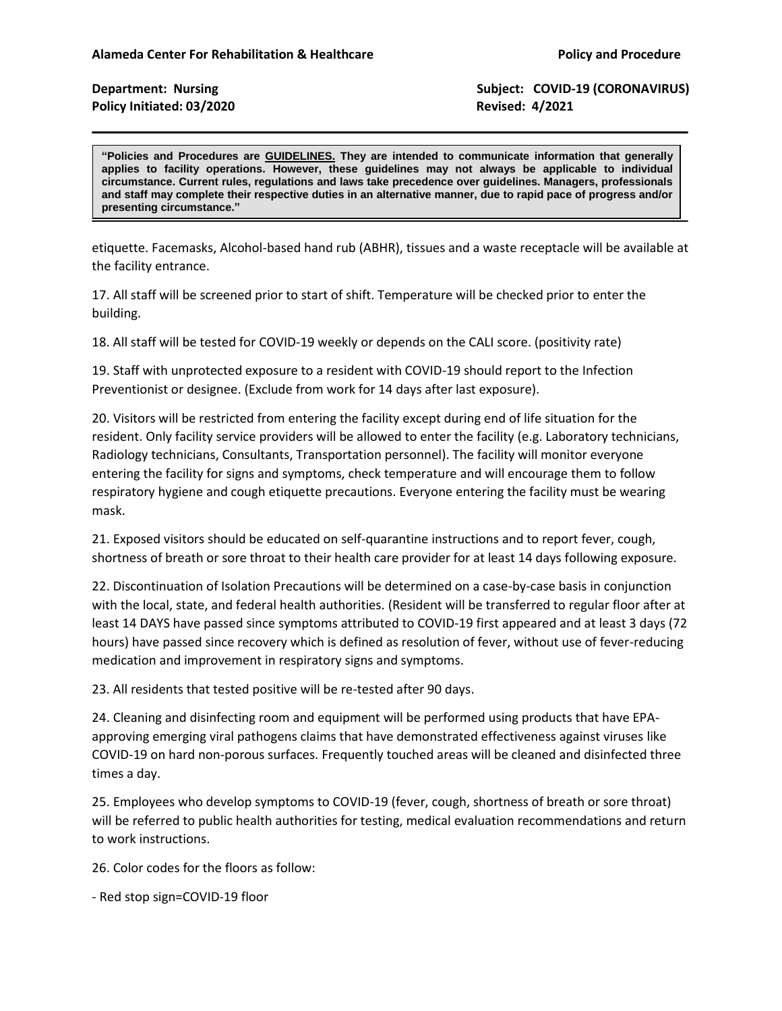**Department: Nursing <b>Subject: COVID-19 (CORONAVIRUS)** 

**"Policies and Procedures are GUIDELINES. They are intended to communicate information that generally applies to facility operations. However, these guidelines may not always be applicable to individual circumstance. Current rules, regulations and laws take precedence over guidelines. Managers, professionals and staff may complete their respective duties in an alternative manner, due to rapid pace of progress and/or presenting circumstance."**

etiquette. Facemasks, Alcohol-based hand rub (ABHR), tissues and a waste receptacle will be available at the facility entrance.

17. All staff will be screened prior to start of shift. Temperature will be checked prior to enter the building.

18. All staff will be tested for COVID-19 weekly or depends on the CALI score. (positivity rate)

19. Staff with unprotected exposure to a resident with COVID-19 should report to the Infection Preventionist or designee. (Exclude from work for 14 days after last exposure).

20. Visitors will be restricted from entering the facility except during end of life situation for the resident. Only facility service providers will be allowed to enter the facility (e.g. Laboratory technicians, Radiology technicians, Consultants, Transportation personnel). The facility will monitor everyone entering the facility for signs and symptoms, check temperature and will encourage them to follow respiratory hygiene and cough etiquette precautions. Everyone entering the facility must be wearing mask.

21. Exposed visitors should be educated on self-quarantine instructions and to report fever, cough, shortness of breath or sore throat to their health care provider for at least 14 days following exposure.

22. Discontinuation of Isolation Precautions will be determined on a case-by-case basis in conjunction with the local, state, and federal health authorities. (Resident will be transferred to regular floor after at least 14 DAYS have passed since symptoms attributed to COVID-19 first appeared and at least 3 days (72 hours) have passed since recovery which is defined as resolution of fever, without use of fever-reducing medication and improvement in respiratory signs and symptoms.

23. All residents that tested positive will be re-tested after 90 days.

24. Cleaning and disinfecting room and equipment will be performed using products that have EPAapproving emerging viral pathogens claims that have demonstrated effectiveness against viruses like COVID-19 on hard non-porous surfaces. Frequently touched areas will be cleaned and disinfected three times a day.

25. Employees who develop symptoms to COVID-19 (fever, cough, shortness of breath or sore throat) will be referred to public health authorities for testing, medical evaluation recommendations and return to work instructions.

26. Color codes for the floors as follow:

- Red stop sign=COVID-19 floor